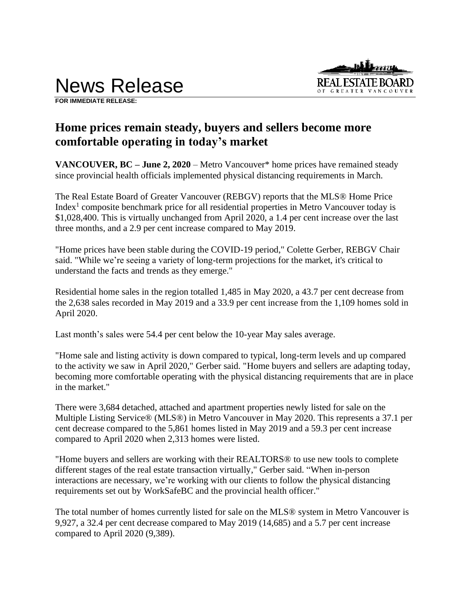



**FOR IMMEDIATE RELEASE:** 

# **Home prices remain steady, buyers and sellers become more comfortable operating in today's market**

**VANCOUVER, BC – June 2, 2020** – Metro Vancouver\* home prices have remained steady since provincial health officials implemented physical distancing requirements in March.

The Real Estate Board of Greater Vancouver (REBGV) reports that the MLS® Home Price Index<sup>1</sup> composite benchmark price for all residential properties in Metro Vancouver today is \$1,028,400. This is virtually unchanged from April 2020, a 1.4 per cent increase over the last three months, and a 2.9 per cent increase compared to May 2019.

"Home prices have been stable during the COVID-19 period," Colette Gerber, REBGV Chair said. "While we're seeing a variety of long-term projections for the market, it's critical to understand the facts and trends as they emerge."

Residential home sales in the region totalled 1,485 in May 2020, a 43.7 per cent decrease from the 2,638 sales recorded in May 2019 and a 33.9 per cent increase from the 1,109 homes sold in April 2020.

Last month's sales were 54.4 per cent below the 10-year May sales average.

"Home sale and listing activity is down compared to typical, long-term levels and up compared to the activity we saw in April 2020," Gerber said. "Home buyers and sellers are adapting today, becoming more comfortable operating with the physical distancing requirements that are in place in the market."

There were 3,684 detached, attached and apartment properties newly listed for sale on the Multiple Listing Service® (MLS®) in Metro Vancouver in May 2020. This represents a 37.1 per cent decrease compared to the 5,861 homes listed in May 2019 and a 59.3 per cent increase compared to April 2020 when 2,313 homes were listed.

"Home buyers and sellers are working with their REALTORS® to use new tools to complete different stages of the real estate transaction virtually," Gerber said. "When in-person interactions are necessary, we're working with our clients to follow the physical distancing requirements set out by WorkSafeBC and the provincial health officer."

The total number of homes currently listed for sale on the MLS® system in Metro Vancouver is 9,927, a 32.4 per cent decrease compared to May 2019 (14,685) and a 5.7 per cent increase compared to April 2020 (9,389).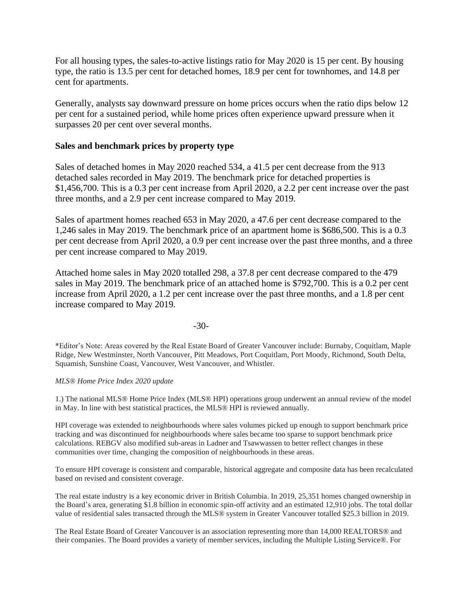For all housing types, the sales-to-active listings ratio for May 2020 is 15 per cent. By housing type, the ratio is 13.5 per cent for detached homes, 18.9 per cent for townhomes, and 14.8 per cent for apartments.

Generally, analysts say downward pressure on home prices occurs when the ratio dips below 12 per cent for a sustained period, while home prices often experience upward pressure when it surpasses 20 per cent over several months.

# **Sales and benchmark prices by property type**

Sales of detached homes in May 2020 reached 534, a 41.5 per cent decrease from the 913 detached sales recorded in May 2019. The benchmark price for detached properties is \$1,456,700. This is a 0.3 per cent increase from April 2020, a 2.2 per cent increase over the past three months, and a 2.9 per cent increase compared to May 2019.

Sales of apartment homes reached 653 in May 2020, a 47.6 per cent decrease compared to the 1,246 sales in May 2019. The benchmark price of an apartment home is \$686,500. This is a 0.3 per cent decrease from April 2020, a 0.9 per cent increase over the past three months, and a three per cent increase compared to May 2019.

Attached home sales in May 2020 totalled 298, a 37.8 per cent decrease compared to the 479 sales in May 2019. The benchmark price of an attached home is \$792,700. This is a 0.2 per cent increase from April 2020, a 1.2 per cent increase over the past three months, and a 1.8 per cent increase compared to May 2019.

-30-

\*Editor's Note: Areas covered by the Real Estate Board of Greater Vancouver include: Burnaby, Coquitlam, Maple Ridge, New Westminster, North Vancouver, Pitt Meadows, Port Coquitlam, Port Moody, Richmond, South Delta, Squamish, Sunshine Coast, Vancouver, West Vancouver, and Whistler.

# *MLS® Home Price Index 2020 update*

1.) The national MLS® Home Price Index (MLS® HPI) operations group underwent an annual review of the model in May. In line with best statistical practices, the MLS® HPI is reviewed annually.

HPI coverage was extended to neighbourhoods where sales volumes picked up enough to support benchmark price tracking and was discontinued for neighbourhoods where sales became too sparse to support benchmark price calculations. REBGV also modified sub-areas in Ladner and Tsawwassen to better reflect changes in these communities over time, changing the composition of neighbourhoods in these areas.

To ensure HPI coverage is consistent and comparable, historical aggregate and composite data has been recalculated based on revised and consistent coverage.

The real estate industry is a key economic driver in British Columbia. In 2019, 25,351 homes changed ownership in the Board's area, generating \$1.8 billion in economic spin-off activity and an estimated 12,910 jobs. The total dollar value of residential sales transacted through the MLS® system in Greater Vancouver totalled \$25.3 billion in 2019.

The Real Estate Board of Greater Vancouver is an association representing more than 14,000 REALTORS® and their companies. The Board provides a variety of member services, including the Multiple Listing Service®. For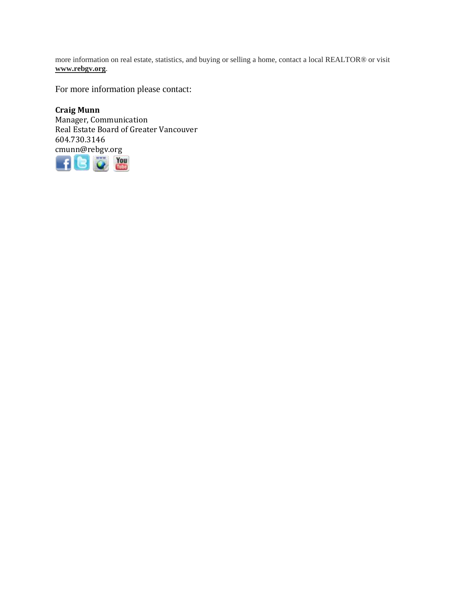more information on real estate, statistics, and buying or selling a home, contact a local REALTOR® or visit **www.rebgv.org**.

For more information please contact:

**Craig Munn** Manager, Communication Real Estate Board of Greater Vancouver 604.730.3146 cmunn@rebgv.org

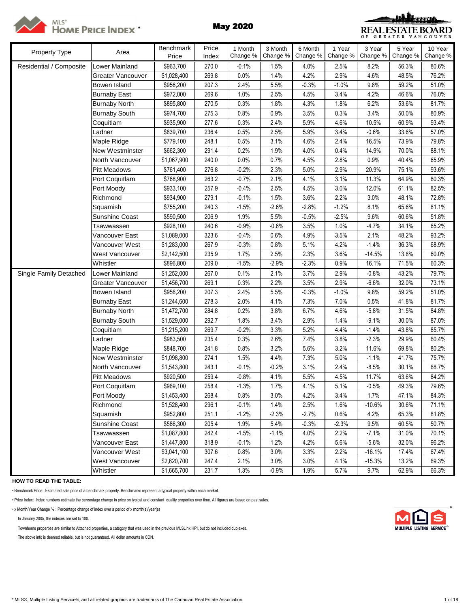

# MLS<sup>\*</sup><br>Home Price Index \* **May 2020**



| Property Type           | Area                 | <b>Benchmark</b> | Price | 1 Month  | 3 Month  | 6 Month  | 1 Year   | 3 Year   | 5 Year   | 10 Year  |
|-------------------------|----------------------|------------------|-------|----------|----------|----------|----------|----------|----------|----------|
|                         |                      | Price            | Index | Change % | Change % | Change % | Change % | Change % | Change % | Change % |
| Residential / Composite | Lower Mainland       | \$963,700        | 270.0 | $-0.1%$  | 1.5%     | 4.0%     | 2.5%     | 8.2%     | 56.3%    | 80.6%    |
|                         | Greater Vancouver    | \$1,028,400      | 269.8 | 0.0%     | 1.4%     | 4.2%     | 2.9%     | 4.6%     | 48.5%    | 76.2%    |
|                         | Bowen Island         | \$956,200        | 207.3 | 2.4%     | 5.5%     | $-0.3%$  | $-1.0%$  | 9.8%     | 59.2%    | 51.0%    |
|                         | <b>Burnaby East</b>  | \$972,000        | 269.6 | 1.0%     | 2.5%     | 4.5%     | 3.4%     | 4.2%     | 46.6%    | 76.0%    |
|                         | <b>Burnaby North</b> | \$895,800        | 270.5 | 0.3%     | 1.8%     | 4.3%     | 1.8%     | 6.2%     | 53.6%    | 81.7%    |
|                         | <b>Burnaby South</b> | \$974,700        | 275.3 | 0.8%     | 0.9%     | 3.5%     | 0.3%     | 3.4%     | 50.0%    | 80.9%    |
|                         | Coquitlam            | \$935,900        | 277.6 | 0.3%     | 2.4%     | 5.9%     | 4.6%     | 10.5%    | 60.9%    | 93.4%    |
|                         | Ladner               | \$839,700        | 236.4 | 0.5%     | 2.5%     | 5.9%     | 3.4%     | $-0.6%$  | 33.6%    | 57.0%    |
|                         | Maple Ridge          | \$779,100        | 248.1 | 0.5%     | 3.1%     | 4.6%     | 2.4%     | 16.5%    | 73.9%    | 79.8%    |
|                         | New Westminster      | \$662,300        | 291.4 | 0.2%     | 1.9%     | 4.0%     | 0.4%     | 14.9%    | 70.0%    | 88.1%    |
|                         | North Vancouver      | \$1,067,900      | 240.0 | 0.0%     | 0.7%     | 4.5%     | 2.8%     | 0.9%     | 40.4%    | 65.9%    |
|                         | <b>Pitt Meadows</b>  | \$761,400        | 276.8 | $-0.2%$  | 2.3%     | 5.0%     | 2.9%     | 20.9%    | 75.1%    | 93.6%    |
|                         | Port Coquitlam       | \$768,900        | 263.2 | $-0.7%$  | 2.1%     | 4.1%     | 3.1%     | 11.3%    | 64.9%    | 80.3%    |
|                         | Port Moody           | \$933,100        | 257.9 | $-0.4%$  | 2.5%     | 4.5%     | 3.0%     | 12.0%    | 61.1%    | 82.5%    |
|                         | Richmond             | \$934,900        | 279.1 | $-0.1%$  | 1.5%     | 3.6%     | 2.2%     | 3.0%     | 48.1%    | 72.8%    |
|                         | Squamish             | \$755,200        | 240.3 | $-1.5%$  | $-2.6%$  | $-2.8%$  | $-1.2%$  | 8.1%     | 65.6%    | 81.1%    |
|                         | Sunshine Coast       | \$590,500        | 206.9 | 1.9%     | 5.5%     | $-0.5%$  | $-2.5%$  | 9.6%     | 60.6%    | 51.8%    |
|                         | Tsawwassen           | \$928,100        | 240.6 | $-0.9%$  | $-0.6%$  | 3.5%     | 1.0%     | $-4.7%$  | 34.1%    | 65.2%    |
|                         | Vancouver East       | \$1,089,000      | 323.6 | $-0.4%$  | 0.6%     | 4.9%     | 3.5%     | 2.1%     | 48.2%    | 93.2%    |
|                         | Vancouver West       | \$1,283,000      | 267.9 | $-0.3%$  | 0.8%     | 5.1%     | 4.2%     | $-1.4%$  | 36.3%    | 68.9%    |
|                         | West Vancouver       | \$2,142,500      | 235.9 | 1.7%     | 2.5%     | 2.3%     | 3.6%     | $-14.5%$ | 13.8%    | 60.0%    |
|                         | Whistler             | \$896,800        | 209.0 | $-1.5%$  | $-2.9%$  | $-2.3%$  | 0.9%     | 16.1%    | 71.5%    | 60.3%    |
| Single Family Detached  | Lower Mainland       | \$1,252,000      | 267.0 | 0.1%     | 2.1%     | 3.7%     | 2.9%     | $-0.8%$  | 43.2%    | 79.7%    |
|                         | Greater Vancouver    | \$1,456,700      | 269.1 | 0.3%     | 2.2%     | 3.5%     | 2.9%     | $-6.6%$  | 32.0%    | 73.1%    |
|                         | Bowen Island         | \$956,200        | 207.3 | 2.4%     | 5.5%     | $-0.3%$  | $-1.0%$  | 9.8%     | 59.2%    | 51.0%    |
|                         | <b>Burnaby East</b>  | \$1,244,600      | 278.3 | 2.0%     | 4.1%     | 7.3%     | 7.0%     | 0.5%     | 41.8%    | 81.7%    |
|                         | <b>Burnaby North</b> | \$1,472,700      | 284.8 | 0.2%     | 3.8%     | 6.7%     | 4.6%     | $-5.8%$  | 31.5%    | 84.8%    |
|                         | <b>Burnaby South</b> | \$1,529,000      | 292.7 | 1.8%     | 3.4%     | 2.9%     | 1.4%     | $-9.1%$  | 30.0%    | 87.0%    |
|                         | Coquitlam            | \$1,215,200      | 269.7 | $-0.2%$  | 3.3%     | 5.2%     | 4.4%     | $-1.4%$  | 43.8%    | 85.7%    |
|                         | Ladner               | \$983,500        | 235.4 | 0.3%     | 2.6%     | 7.4%     | 3.8%     | $-2.3%$  | 29.9%    | 60.4%    |
|                         | Maple Ridge          | \$848,700        | 241.8 | 0.8%     | 3.2%     | 5.6%     | 3.2%     | 11.6%    | 69.8%    | 80.2%    |
|                         | New Westminster      | \$1,098,800      | 274.1 | 1.5%     | 4.4%     | 7.3%     | 5.0%     | $-1.1%$  | 41.7%    | 75.7%    |
|                         | North Vancouver      | \$1,543,800      | 243.1 | $-0.1%$  | $-0.2%$  | 3.1%     | 2.4%     | $-8.5%$  | 30.1%    | 68.7%    |
|                         | <b>Pitt Meadows</b>  | \$920,500        | 259.4 | $-0.8%$  | 4.1%     | 5.5%     | 4.5%     | 11.7%    | 63.6%    | 84.2%    |
|                         | Port Coquitlam       | \$969,100        | 258.4 | $-1.3%$  | 1.7%     | 4.1%     | 5.1%     | $-0.5%$  | 49.3%    | 79.6%    |
|                         | Port Moody           | \$1,453,400      | 268.4 | 0.8%     | 3.0%     | 4.2%     | 3.4%     | 1.7%     | 47.1%    | 84.3%    |
|                         | Richmond             | \$1,528,400      | 296.1 | $-0.1%$  | 1.4%     | 2.5%     | 1.6%     | $-10.6%$ | 30.6%    | 71.1%    |
|                         | Squamish             | \$952,800        | 251.1 | $-1.2%$  | $-2.3%$  | $-2.7%$  | 0.6%     | 4.2%     | 65.3%    | 81.8%    |
|                         | Sunshine Coast       | \$586,300        | 205.4 | 1.9%     | 5.4%     | $-0.3%$  | $-2.3%$  | 9.5%     | 60.5%    | 50.7%    |
|                         | Tsawwassen           | \$1,087,800      | 242.4 | $-1.5%$  | $-1.1%$  | 4.0%     | 2.2%     | $-7.1%$  | 31.0%    | 70.1%    |
|                         | Vancouver East       | \$1,447,800      | 318.9 | $-0.1%$  | 1.2%     | 4.2%     | 5.6%     | $-5.6%$  | 32.0%    | 96.2%    |
|                         | Vancouver West       | \$3,041,100      | 307.6 | 0.8%     | 3.0%     | 3.3%     | 2.2%     | $-16.1%$ | 17.4%    | 67.4%    |
|                         | West Vancouver       | \$2,620,700      | 247.4 | 2.1%     | 3.0%     | 3.0%     | 4.1%     | $-15.3%$ | 13.2%    | 69.3%    |
|                         | Whistler             | \$1,665,700      | 231.7 | 1.3%     | $-0.9%$  | 1.9%     | 5.7%     | 9.7%     | 62.9%    | 66.3%    |

**HOW TO READ THE TABLE:**

• Benchmark Price: Estimated sale price of a benchmark property. Benchmarks represent a typical property within each market.

• Price Index: Index numbers estimate the percentage change in price on typical and constant quality properties over time. All figures are based on past sales.

• x Month/Year Change %: Percentage change of index over a period of x month(s)/year(s) \*

In January 2005, the indexes are set to 100.

Townhome properties are similar to Attached properties, a category that was used in the previous MLSLink HPI, but do not included duplexes.

The above info is deemed reliable, but is not guaranteed. All dollar amounts in CDN.

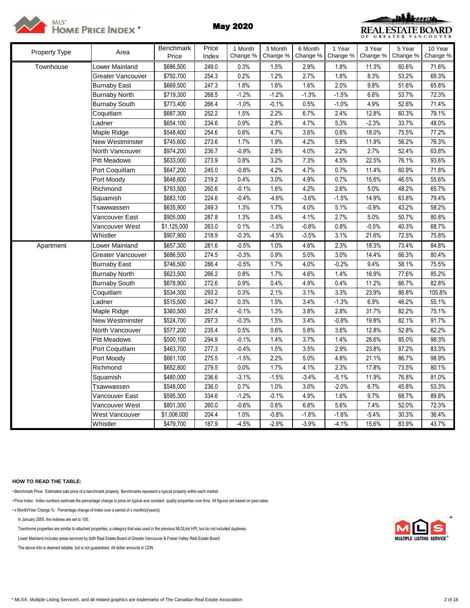



| <b>Property Type</b> | Area                 | Benchmark   | Price | 1 Month  | 3 Month  | 6 Month  | 1 Year   | 3 Year   | 5 Year   | 10 Year  |
|----------------------|----------------------|-------------|-------|----------|----------|----------|----------|----------|----------|----------|
|                      |                      | Price       | Index | Change % | Change % | Change % | Change % | Change % | Change % | Change % |
| Townhouse            | Lower Mainland       | \$686,500   | 249.0 | 0.3%     | 1.5%     | 2.9%     | 1.8%     | 11.3%    | 60.6%    | 71.6%    |
|                      | Greater Vancouver    | \$792,700   | 254.3 | 0.2%     | 1.2%     | 2.7%     | 1.8%     | 8.3%     | 53.2%    | 69.3%    |
|                      | <b>Burnaby East</b>  | \$669,500   | 247.3 | 1.8%     | 1.6%     | 1.6%     | 2.0%     | 9.8%     | 51.6%    | 65.8%    |
|                      | <b>Burnaby North</b> | \$719,300   | 268.5 | $-1.2%$  | $-1.2%$  | $-1.3%$  | $-1.5%$  | 6.6%     | 53.7%    | 72.3%    |
|                      | <b>Burnaby South</b> | \$773,400   | 266.4 | $-1.0%$  | $-0.1%$  | 0.5%     | $-1.0%$  | 4.9%     | 52.6%    | 71.4%    |
|                      | Coquitlam            | \$687,300   | 252.2 | 1.5%     | 2.2%     | 6.7%     | 2.4%     | 12.8%    | 60.3%    | 79.1%    |
|                      | Ladner               | \$654,100   | 234.6 | 0.9%     | 2.8%     | 4.7%     | 5.3%     | $-2.3%$  | 33.7%    | 48.0%    |
|                      | Maple Ridge          | \$548,400   | 254.6 | 0.6%     | 4.7%     | 3.6%     | 0.6%     | 18.0%    | 75.5%    | 77.2%    |
|                      | New Westminster      | \$745,600   | 273.6 | 1.7%     | 1.9%     | 4.2%     | 5.8%     | 11.9%    | 56.2%    | 76.3%    |
|                      | North Vancouver      | \$974,200   | 236.7 | $-0.9%$  | 2.8%     | 4.0%     | 2.2%     | 2.7%     | 52.4%    | 63.8%    |
|                      | <b>Pitt Meadows</b>  | \$633,000   | 273.9 | 0.8%     | 3.2%     | 7.3%     | 4.5%     | 22.5%    | 76.1%    | 93.6%    |
|                      | Port Coquitlam       | \$647,200   | 245.0 | $-0.8%$  | 4.2%     | 4.7%     | 0.7%     | 11.4%    | 60.9%    | 71.8%    |
|                      | Port Moody           | \$648,600   | 219.2 | 0.4%     | 3.0%     | 4.9%     | 0.7%     | 15.6%    | 46.5%    | 55.6%    |
|                      | Richmond             | \$793,500   | 260.6 | $-0.1%$  | 1.6%     | 4.2%     | 2.6%     | 5.0%     | 48.2%    | 65.7%    |
|                      | Squamish             | \$683,100   | 224.6 | $-0.4%$  | $-4.6%$  | $-3.6%$  | $-1.5%$  | 14.9%    | 63.8%    | 79.4%    |
|                      | Tsawwassen           | \$635,900   | 249.3 | 1.3%     | 1.7%     | 4.0%     | 5.1%     | $-0.9%$  | 43.2%    | 58.2%    |
|                      | √ancouver East       | \$905,000   | 287.8 | 1.3%     | 0.4%     | 4.1%     | 2.7%     | 5.0%     | 50.7%    | 80.8%    |
|                      | Vancouver West       | \$1,125,000 | 263.0 | 0.1%     | $-1.3%$  | $-0.8%$  | 0.8%     | $-0.5%$  | 40.3%    | 68.7%    |
|                      | Whistler             | \$907,900   | 218.9 | $-0.3%$  | $-4.5%$  | $-3.5%$  | 3.1%     | 21.6%    | 72.5%    | 75.8%    |
| Apartment            | Lower Mainland       | \$657,300   | 281.6 | $-0.5%$  | 1.0%     | 4.6%     | 2.3%     | 18.3%    | 73.4%    | 84.8%    |
|                      | Greater Vancouver    | \$686,500   | 274.5 | $-0.3%$  | 0.9%     | 5.0%     | 3.0%     | 14.4%    | 66.3%    | 80.4%    |
|                      | <b>Burnaby East</b>  | \$746,500   | 286.4 | $-0.5%$  | 1.7%     | 4.0%     | $-0.2%$  | 9.4%     | 58.1%    | 75.5%    |
|                      | <b>Burnaby North</b> | \$623,500   | 266.2 | 0.8%     | 1.7%     | 4.6%     | 1.4%     | 16.9%    | 77.6%    | 85.2%    |
|                      | <b>Burnaby South</b> | \$678,900   | 272.6 | 0.9%     | 0.4%     | 4.9%     | 0.4%     | 11.2%    | 66.7%    | 82.8%    |
|                      | Coquitlam            | \$534,300   | 293.2 | 0.3%     | 2.1%     | 3.1%     | 3.3%     | 23.9%    | 86.8%    | 105.8%   |
|                      | Ladner               | \$515,500   | 240.7 | 0.3%     | 1.5%     | 3.4%     | $-1.3%$  | 6.9%     | 46.2%    | 55.1%    |
|                      | Maple Ridge          | \$360,500   | 257.4 | $-0.1%$  | 1.3%     | 3.8%     | 2.8%     | 31.7%    | 82.2%    | 75.1%    |
|                      | New Westminster      | \$524,700   | 297.3 | $-0.3%$  | 1.5%     | 3.4%     | $-0.8%$  | 19.8%    | 82.1%    | 91.7%    |
|                      | North Vancouver      | \$577,200   | 235.4 | 0.5%     | 0.6%     | 5.8%     | 3.6%     | 12.8%    | 52.8%    | 62.2%    |
|                      | <b>Pitt Meadows</b>  | \$500,100   | 294.9 | $-0.1%$  | 1.4%     | 3.7%     | 1.4%     | 28.6%    | 85.0%    | 98.3%    |
|                      | Port Coquitlam       | \$463,700   | 277.3 | $-0.4%$  | 1.5%     | 3.5%     | 2.9%     | 23.8%    | 87.2%    | 83.3%    |
|                      | Port Moody           | \$661,100   | 275.5 | $-1.5%$  | 2.2%     | 5.0%     | 4.8%     | 21.1%    | 86.7%    | 98.9%    |
|                      | Richmond             | \$652,800   | 279.5 | 0.0%     | 1.7%     | 4.1%     | 2.3%     | 17.8%    | 73.5%    | 80.1%    |
|                      | Squamish             | \$480,000   | 236.6 | $-3.1%$  | $-1.5%$  | $-3.4%$  | $-5.1%$  | 11.9%    | 76.8%    | 81.0%    |
|                      | Tsawwassen           | \$548,000   | 236.0 | 0.7%     | 1.0%     | 3.0%     | $-2.0%$  | 6.7%     | 45.8%    | 53.3%    |
|                      | Vancouver East       | \$595,300   | 334.6 | $-1.2%$  | $-0.1%$  | 4.9%     | 1.6%     | 9.7%     | 68.7%    | 89.8%    |
|                      | Vancouver West       | \$801,300   | 260.0 | $-0.6%$  | 0.6%     | 6.8%     | 5.6%     | 7.4%     | 52.0%    | 72.3%    |
|                      | West Vancouver       | \$1,006,000 | 204.4 | 1.0%     | $-0.8%$  | $-1.6%$  | $-1.6%$  | $-5.4%$  | 30.3%    | 36.4%    |
|                      | Whistler             | \$479,700   | 187.9 | $-4.5%$  | $-2.9%$  | $-3.9%$  | $-4.1%$  | 15.6%    | 83.9%    | 43.7%    |

## **HOW TO READ THE TABLE:**

• Benchmark Price: Estimated sale price of a benchmark property. Benchmarks represent a typical property within each market.

• Price Index: Index numbers estimate the percentage change in price on typical and constant quality properties over time. All figures are based on past sales.

• x Month/Year Change %: Percentage change of index over a period of x month(s)/year(s)

In January 2005, the indexes are set to 100. \*

Townhome properties are similar to attached properties, a category that was used in the previous MLSLink HPI, but do not included duplexes.

Lower Mainland includes areas serviced by both Real Estate Board of Greater Vancouver & Fraser Valley Real Estate Board.

The above info is deemed reliable, but is not guaranteed. All dollar amounts in CDN.

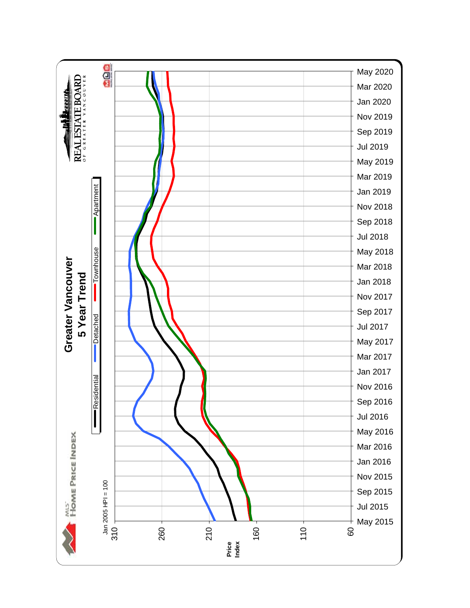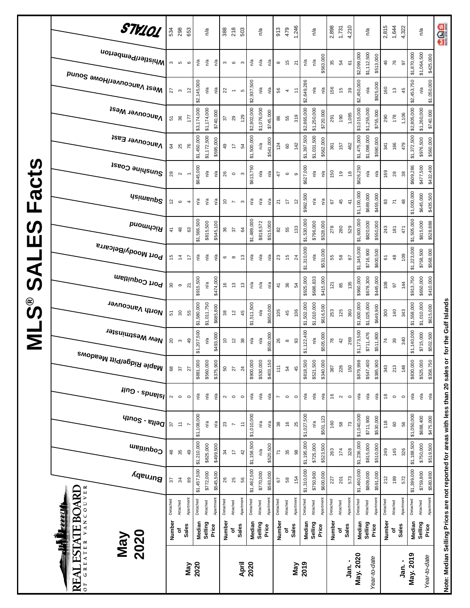|                      | Burnaby<br>VANCOUVER<br><b>ESTATE BOARD</b><br><u>Filipad</u><br>2020<br>VeW<br>GREATER | 22<br>Detached<br>Number | $\frac{3}{4}$<br>Attached<br>٥ | $^{\circ}_{8}$<br>Apartment<br><b>Sales</b> | \$1,457,500<br>Detached<br>Median | \$772,000<br>Attached<br>Selling | \$545,500<br>Apartment<br>Price | 26<br>Detached<br>Number | 25<br>Attached<br>٥      | 56<br>Apartment<br>Sales                            | \$1,462,500<br>Detached<br>Median | \$770,000<br>Attached<br>Selling | \$593,000<br>Apartment<br>Price | 67<br>Detached<br>Number | $58\,$<br>Attached<br>٥                                       | 154<br>Apartment<br><b>Sales</b> | \$1,310,000<br>Detached<br>Median | \$750,900<br>Attached<br>Selling | \$600,000<br>Apartment<br>Price | 227<br>Detached<br>Number | 201<br>Attached<br>Sales<br>ō | 573<br>Apartment               | \$1,460,000<br>Detached<br>Median<br>May. 2020 | \$809,000<br>\$591,000<br>Apartment<br>Attached<br>Selling<br>Price | 212<br>Detached<br>Number | 189<br>Attached<br>ō | 572<br>Apartment<br><b>Sales</b> | \$1,399,000<br>Detached<br>Median<br>May. 2019 | \$759,800<br>\$580,800<br>Apartment<br>Attached<br>Selling<br>Price<br>Year-to-date | Note: Median Selling Prices are not reported for areas with less than 20 sales or |
|----------------------|-----------------------------------------------------------------------------------------|--------------------------|--------------------------------|---------------------------------------------|-----------------------------------|----------------------------------|---------------------------------|--------------------------|--------------------------|-----------------------------------------------------|-----------------------------------|----------------------------------|---------------------------------|--------------------------|---------------------------------------------------------------|----------------------------------|-----------------------------------|----------------------------------|---------------------------------|---------------------------|-------------------------------|--------------------------------|------------------------------------------------|---------------------------------------------------------------------|---------------------------|----------------------|----------------------------------|------------------------------------------------|-------------------------------------------------------------------------------------|-----------------------------------------------------------------------------------|
|                      | Coquitlam                                                                               | \$                       | æ                              | \$                                          | \$1,210,000                       | \$825,000                        | \$499,500                       | æ                        | $\overline{\phantom{a}}$ | $42\,$                                              | \$1,158,500                       | n/a                              | \$520,500                       | $\overline{r}$           | $35\,$                                                        | $\frac{8}{2}$                    | \$1,195,000                       | \$725,000                        | \$523,500                       | 263                       | 174                           | 328                            | \$1,236,000                                    | \$815,000<br>\$510,000                                              | 249                       | 145                  | 326                              | \$1,188,500                                    | \$750,000<br>\$519,500                                                              |                                                                                   |
|                      | $q_{100}$ s - $e_{100}$                                                                 | 57                       | $\overleftarrow{\cdot}$        |                                             | \$1,108,000                       | n/a                              | n/a                             | $23\,$                   | $\overline{\phantom{a}}$ | $\stackrel{\scriptstyle\smile}{\scriptstyle\smile}$ | \$1,010,000                       | n/a                              | n/a                             | $38\,$                   | $\frac{6}{2}$                                                 | 25                               | \$1,027,500                       | n/a                              | \$501,123                       | 160                       | 58                            | 73                             | \$1,040,000                                    | \$711,900<br>\$530,000                                              | 118                       | $\pmb{\mathbb{S}}$   | 56                               | \$1,050,000                                    | \$688,400<br>\$475,000                                                              |                                                                                   |
|                      | $\mu$ ng - spuelsl                                                                      | $\boldsymbol{\sim}$      | $\circ$                        | $\circ$                                     | Ρá                                | $\frac{a}{a}$                    | ηá                              | 2                        | $\circ$                  | $\circ$                                             | n/a                               | ηã                               | n/a                             | $\overline{ }$           | $\circ$                                                       | $\circ$                          | $\tilde{\mathsf{h}}$              | n/a                              | n/a                             | $\frac{6}{2}$             | $\boldsymbol{\sim}$           | $\circ$                        | n/a                                            | $\mathsf{n}^\mathsf{d}$<br>n/a                                      | \$                        | $\circ$              | $\circ$                          | Ρá                                             | $\mathsf{n}^\mathsf{d}$<br>$\tilde{\mathsf{p}}$                                     |                                                                                   |
|                      | <sup>Maple Ridge/Pitt Meadows</sup>                                                     | 8                        | 57                             | 27                                          | \$881,000                         | \$560,000                        | \$375,900                       | 50                       | 27                       | 24                                                  | \$900,000                         | \$530,000                        | \$403,150                       | $111$                    | 54                                                            | 45                               | \$818,500                         | \$521,500                        | \$340,000                       | 387                       | 226                           | 150                            | \$879,998                                      | \$385,900<br>\$547,400                                              | 343                       | 213                  | 148                              | \$830,000                                      | \$525,000<br>\$358,750                                                              |                                                                                   |
| Σ                    | New Westminster                                                                         | $\overline{c}$           | $\boldsymbol{\upsigma}$        | 49                                          | \$1,207,500                       | n/a                              | \$493,000                       | $\tilde{c}$              | $\tilde{c}$              | $38\,$                                              | n/a                               | n/a                              | \$500,000                       | 26                       | $\infty$                                                      | 93                               | \$1,122,400                       | n/a                              | \$505,000                       | 78                        | 42                            | 269                            | \$1,173,500                                    | \$711,476<br>\$511,800                                              | 74                        | 39                   | 340                              | \$1,140,000                                    | \$715,000<br>\$502,500                                                              | for the Gulf Islands                                                              |
| ©<br>ဟ               | North Vancouver                                                                         | 51                       | $\boldsymbol{30}$              | 55                                          | \$1,580,000                       | \$1,011,750                      | \$685,800                       | $38\,$                   | $\tilde{c}$              | 45                                                  | \$1,511,500                       | n/a                              | \$650,000                       | 105                      | 45                                                            | 106                              | \$1,502,000                       | \$1,010,000                      | \$616,500                       | 253                       | 125                           | 360                            | \$1,600,000                                    | \$1,025,000<br>\$649,900                                            | 300                       | 140                  | 343                              | \$1,558,000                                    | \$1,010,000<br>\$615,000                                                            |                                                                                   |
| <b>Si</b>            | Port Coquitlam                                                                          | 30                       | $\, \circ \,$                  | 21                                          | \$915,500                         | n/a                              | \$474,000                       | 9                        | $\tilde{c}$              | చ                                                   | n/a                               | n/a                              | n/a                             | $\ddot{4}$               | 36                                                            | 54                               | \$925,000                         | \$686,833                        | \$415,000                       | 121                       | 85                            | 135                            | \$960,000                                      | \$678,300<br>\$445,000                                              | 108                       | 57                   | 144                              | \$913,750                                      | \$650,000<br>\$410,000                                                              |                                                                                   |
| $\blacktriangleleft$ | Port Moody/Belcarra                                                                     | 45                       | $\ddot{4}$                     | ÷                                           | Ρå                                | n/a                              | n/a                             | 6                        | $\infty$                 | م.                                                  | n/a                               | n/a                              | n/a                             | 23                       | 15                                                            | $^{24}$                          | \$1,310,000                       | n/a                              | \$531,000                       | 55                        | $58\,$                        | 28                             | \$1,345,000                                    | \$716,900<br>\$600,500                                              | 61                        | $\frac{8}{3}$        | 109                              | \$1,223,000                                    | \$758,500<br>\$568,000                                                              |                                                                                   |
| <b>S</b><br>Ш        | <b>Bromnond</b>                                                                         | $\frac{4}{3}$            | $\frac{8}{3}$                  | යි                                          | \$1,566,500                       | \$815,500                        | \$545,100                       | 36                       | 57                       | 54                                                  | \$1,489,000                       | \$818,572                        | \$515,000                       | 82                       | 55                                                            | 133                              | \$1,530,000                       | \$796,000                        | \$528,000                       | 278                       | 280                           | 529                            | \$1,600,000                                    | \$820,000<br>\$550,000                                              | 243                       | 181                  | 471                              | \$1,505,000                                    | \$815,000<br>\$528,888                                                              |                                                                                   |
| Fact                 | <b>Usimenp<sup>S</sup></b>                                                              | 57                       | $\mathbf  \circ$               | 4                                           | ్డి                               | n/a                              | n/a                             | ő                        | $\overline{\phantom{a}}$ | $\boldsymbol{\infty}$                               | n/a                               | n/a                              | n/a                             | $\overline{\mathbf{z}}$  | $\ddot{ }$                                                    | $\frac{2}{3}$                    | \$992,500                         | n/a                              | n/a                             | 67                        | 45                            | $\frac{4}{3}$                  | \$1,100,000                                    | \$689,000<br>\$455,000                                              | 83                        | $\overline{r}$       | $\frac{8}{3}$                    | \$1,000,000                                    | \$645,000<br>\$435,500                                                              |                                                                                   |
| <b>S</b>             | Sunshine Coast                                                                          | 28                       | $\sim$                         |                                             | \$645,000                         | n/a                              | n/a                             | 26                       | $\circ$                  | $\mathfrak{g}$                                      | \$613,750                         | n/a                              | n′a                             | 47                       | $\mathbf  \, \mathbf  \, \mathbf  \, \mathbf  \, \mathbf  \,$ | ၜ                                | \$627,000                         | ηá                               | n/a                             | 150                       | $\overline{6}$                | $\overset{\circ}{\phantom{a}}$ | \$626,250                                      | n/a<br>ηã                                                           | 169                       | 28                   | 38                               | \$609,286                                      | \$477,500<br>\$432,400                                                              |                                                                                   |
|                      | Vancouver East                                                                          | 34                       | 25                             | 76                                          | \$1,450,000                       | \$1,172,500                      | \$595,000                       | 49                       | 4                        | 54                                                  | \$1,500,000                       | n/a                              | \$541,000                       | 124                      | 80                                                            | 142                              | \$1,397,500                       | \$1,031,500                      | \$562,000                       | 361                       | 157                           | 462                            | \$1,475,000                                    | \$1,098,000<br>\$590,000                                            | 341                       | 166                  | 479                              | \$1,372,500                                    | \$976,500<br>\$560,000                                                              |                                                                                   |
|                      | <b>Vancouver West</b>                                                                   | 51                       | 36                             | 177                                         | \$3,174,000                       | \$1,174,000                      | \$740,000                       | 22                       | 29                       | 129                                                 | \$2,802,000                       | \$1,076,000                      | \$745,000                       | 86                       | 55                                                            | 319                              | \$2,865,000                       | \$1,250,000                      | \$720,000                       | 291                       | 190                           | 1,085                          | \$3,015,000                                    | \$1,255,000<br>\$755,000                                            | 290                       | 178                  | 1,106                            | \$2,805,000                                    | \$1,260,000<br>\$740,000                                                            |                                                                                   |
|                      | Mest Vancouver/Howe Sound                                                               | 27                       | S                              | $\frac{1}{2}$                               | \$2,145,000                       | n/a                              | n/a                             | 22                       | $\overline{\phantom{a}}$ | ю                                                   | \$2,937,500                       | n/a                              | n/a                             | 56                       | 4                                                             | Ξ                                | \$2,649,286                       | n/a                              | n/a                             | 156                       | $\frac{6}{7}$                 | $39$                           | \$2,450,000                                    | \$925,000<br>ρý                                                     | 160                       | $\mathfrak{S}$       | 45                               | \$2,453,750                                    | \$1,050,000<br>n/a                                                                  |                                                                                   |
|                      | i <sup>Whistler/Pemberton</sup>                                                         | S                        | S                              | $\mathbf \Omega$                            | n/a                               | n/a                              | n/a                             | 3                        | $\circ$                  | $\boldsymbol{\infty}$                               | n/a                               | n/a                              | n/a                             | $^{\circ}$               | 15                                                            | $\overline{2}$                   | n/a                               | n/a                              | \$563,000                       | 35                        | 54                            | 61                             | \$2,099,000                                    | \$1,112,500<br>\$513,000                                            | 46                        | 76                   | 5                                | \$1,870,000                                    | \$1,064,500<br>\$425,000                                                            |                                                                                   |
|                      | STV101                                                                                  | 534                      | 298                            | 653                                         |                                   | n/a                              |                                 | 388                      | 218                      | 503                                                 |                                   | n/a                              |                                 | 913                      | 479                                                           | 1,246                            |                                   | n/a                              |                                 | 2,898                     | 1,731                         | 4,210                          |                                                | n/a                                                                 | 2,815                     | 1,644                | 4,322                            |                                                | n/a                                                                                 | aos                                                                               |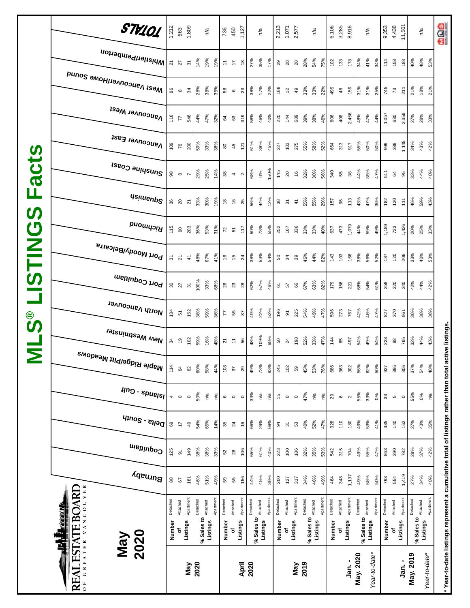|                           | STV101                                           | 1,212    | 663                                          | 1,809                    |            | n/a      |          | 736<br>450                     |                                                                                 | 1,127             |            | n/a                   |           | 2,213    | 1,071              | 2,577         |            | n/a                   |           | 6,106<br>3,285 |                   | 8,916     |            | $n^{\prime}$ a       | 9,353    | 4,438          | 11,501    |           | n/a                                     | age                                                                                                 |
|---------------------------|--------------------------------------------------|----------|----------------------------------------------|--------------------------|------------|----------|----------|--------------------------------|---------------------------------------------------------------------------------|-------------------|------------|-----------------------|-----------|----------|--------------------|---------------|------------|-----------------------|-----------|----------------|-------------------|-----------|------------|----------------------|----------|----------------|-----------|-----------|-----------------------------------------|-----------------------------------------------------------------------------------------------------|
|                           | Whistler/Pemberton                               |          | $\frac{27}{27}$                              | $\overline{5}$           | 14%        | 19%      | 19%      | $\Xi$                          | $\frac{1}{2}$                                                                   | $\frac{8}{2}$     | 27%        | 35%                   | 17%       | 29       | - 82               | 28            | 28%        | 54%                   | 75%       | $102$          | 133               | 178       | 34%        | 41%<br>34%           | 114      | 158            | 183       | 40%       | 48%<br>53%                              |                                                                                                     |
|                           | Mest Vancouver/Howe Sound                        | 96       | $\infty$                                     | $\mathfrak{L}$           | 28%        | 38%      | 35%      | 58                             | $\mathbf \omega$                                                                | $23\,$            | 38%        | 17%                   | 22%       | 168      | $\frac{2}{3}$      | 49            | 33%        | 33%                   | 22%       | 499            | $48$              | 159       | 31%        | 31%<br>25%           | 745      | $\mathcal{L}$  | 211       | 21%       | 18%<br>21%                              |                                                                                                     |
|                           | <b>Vancouver West</b>                            | 116      | 77                                           | 546                      | 44%        | 47%      | 32%      | 84                             | 63                                                                              | 319               | 58%        | 46%                   | 40%       | 220      | 144                | 689           | 39%        | 38%                   | 46%       | 606            | 408               | 2,456     | 48%        | 47%<br>44%           | 1,057    | 630            | 3,359     | 27%       | 33%<br>28%                              |                                                                                                     |
|                           | Vancouver East                                   | 109      | 76                                           | 200                      | 59%        | 33%      | 38%      | $\rm ^{80}$                    | 45                                                                              | 121               | 61%        | 38%                   | 45%       | 227      | 103                | 275           | 55%        | 58%                   | 52%       | 654            | 313               | 917       | 55%        | 50%<br>50%           | 999      | 388            | 1,145     | 34%       | 43%<br>42%                              |                                                                                                     |
| <b>acts</b>               | Sunshine Coast                                   | 98       | $\infty$                                     | $\overline{\phantom{a}}$ | 29%        | 25%      | 14%      | $_{38}$                        | $\overline{\mathcal{A}}$                                                        | $\mathbf{\Omega}$ | 68%        | 0%                    | 150%      | 145      | 20                 | $\frac{6}{5}$ | 32%        | 30%                   | 56%       | 340            | 55                | $38\,$    | 44%        | 35%<br>47%           | 511      | 64             | 95        | 33%       | 44%<br>40%                              |                                                                                                     |
| щ                         | <b>Asimeup<sup>2</sup></b>                       |          | ន<br>ន                                       | $\overline{2}$           | 33%        | 30%      | 19%      | $\overset{\circ}{\phantom{a}}$ | $\frac{6}{5}$                                                                   | 25                | 56%        | 44%                   | 12%       | 38       | ূর্                | $\tilde{t}$   | 55%        | 55%                   | 29%       | 157            | 96                | 113       | 43%        | 47%<br>36%           | 182      | 120            | 111       | 46%       | 59%<br>43%                              |                                                                                                     |
| $\boldsymbol{\omega}$     | <b>PuowyoiA</b>                                  | 115      | $\rm ^{\rm o}$                               | 203                      | 36%        | 53%      | 31%      | $72$ 51                        |                                                                                 | 117               | 50%        | 73%                   | 55%       | 252      | 167                | 336           | 33%        | 33%                   | 40%       | 637            | 473               | 1,079     | 44%        | 59%<br>49%           | 1,189    | 723            | 1,426     | 20%       | 25%<br>33%                              |                                                                                                     |
| <b>USTING</b>             | Port Moody/Belcarra                              |          | 5 N                                          | $\frac{4}{7}$            | 48%        | 67%      | 41%      | 9                              | 15                                                                              | $^{24}$           | 38%        | 53%                   | 54%       |          | <b>8</b> 29        | 39            | 46%        | 44%                   | 62%       | 143            | 103               | 166       | 38%        | 56%<br>52%           | 187      | 120            | 206       | 33%       | 40%<br>53%                              |                                                                                                     |
|                           | Port Coquitlam                                   |          | $\begin{matrix} 3 & 5 \\ 2 & 5 \end{matrix}$ |                          | 100%       | 33%      | 68%      | 26<br>23                       |                                                                                 | 28                | 62%        | 57%                   | 46%       | 61       | 57                 | 66            | 67%        | 63%                   | 82%       | 179            | 156               | 221       | 68%        | 54%<br>61%           | 258      | 220            | 340       | 42%       | 44%<br>42%                              |                                                                                                     |
| $\overset{\circ}{\bm{v}}$ | North Vancouver                                  | 134      | 51                                           | 152                      | 38%        | 59%      | 36%      | 55                             |                                                                                 | 87                | 49%        | 22%                   | 52%       | 196      | $\overline{\circ}$ | 225           | 54%        | 49%                   | 47%       | 596            | 273               | 767       | 42%        | 46%<br>47%           | 827      | 370            | 961       | 36%       | 38%<br>36%                              |                                                                                                     |
| $\overline{\mathsf{z}}$   | , <sup>New Westminster</sup>                     |          | ೫ ಕ                                          | 102                      | 59%        | 16%      | 48%      |                                | $\begin{array}{ccccc}\n\overline{2} & \overline{5} & \overline{6}\n\end{array}$ |                   | 48%        | 109%                  | 68%       | 50       | $\overline{24}$    | 198           | 52%        | 33%                   | 47%       | $\frac{4}{4}$  | 85                | 497       | 54%        | 49%<br>54%           | 228      | $_{88}$        | 795       | 32%       | 44%<br>43%                              |                                                                                                     |
|                           | , <sup>Maple Ridge/Pitt Meadows</sup>            | 114      | 64                                           | 8                        | 60%        | 58%      | 44%      | 103                            | 57                                                                              | 29                | 49%        | 73%                   | 83%       | 245      | 102                | 59            | 45%        | 53%                   | 76%       | 686            | 363               | 302       | 56%        | 62%<br>50%           | 927      | 395            | 306       | 37%       | 54%<br>48%                              |                                                                                                     |
|                           | $\mu$ ng - spuelsl                               | 4        | $\circ$                                      | $\circ$                  | 50%        | ηã       | n/a      | $\mathbf  \circ$               | $\circ$                                                                         | $\circ$           | 33%        | $\tilde{\mathcal{S}}$ | ηá        | 15       | $\circ$            | $\circ$       | 47%        | $\tilde{\mathcal{S}}$ | ρý        | 29             | $\mathbf  \omega$ | $\sim$    | 55%        | 33%<br>0%            | 33       | $\mathfrak{g}$ | $\circ$   | 55%       | $0\%$<br>$\tilde{\mathcal{S}}$          |                                                                                                     |
|                           | $q_{10}$ elta - South                            | 69       | $\overline{\phantom{a}}$                     | 49                       | 54%        | 65%      | 14%      | 35                             | $\overline{24}$                                                                 | $\frac{6}{2}$     | 66%        | 29%                   | 69%       | 34       | $\overline{5}$     | S3            | 40%        | 52%                   | 47%       | 328            | 110               | 180       | 49%        | 53%<br>41%           | 435      | 140            | 162       | 27%       | 43%<br>35%                              |                                                                                                     |
|                           | Coquitlam                                        | 125      | $\overline{5}$                               | 149                      | 38%        | 38%      | 33%      | 52                             | $28$                                                                            | 106               | 65%        | 61%                   | 40%       | 223      | 100                | 186           | 32%        | 35%                   | 53%       | 542            | 315               | 704       | 49%        | 55%<br>47%           | 863      | 390            | 782       | 29%       | 37%<br>42%                              |                                                                                                     |
|                           | Burnaby                                          | 80       | $67\,$                                       | 181                      | 46%        | 51%      | 49%      | 59                             | 55                                                                              | 156               | 44%        | 45%                   | 36%       | 200      | 127                | 317           | 34%        | 46%                   | 49%       | 464            | 348               | 1,137     | 49%        | 58%<br>50%           | 798      | 554            | 1,419     | 27%       | 34%<br>40%                              |                                                                                                     |
|                           | VANCOUVER<br><b>ESTATE BOARD</b><br><u>EEELI</u> | Detached | Attached                                     | Apartment                | Detached   | Attached | Apartmen | Detached                       | Attached                                                                        | Apartment         | Detached   | Attached              | Apartment | Detached | Attached           | Apartment     | Detached   | Attached              | Apartment | Detached       | Attached          | Apartment | Detached   | Apartmen<br>Attached | Detached | Attached       | Apartment | Detached  | Apartment<br>% Sales to <b>Attached</b> |                                                                                                     |
|                           | 1<br>2020<br><b>May</b>                          | Number   | ъ                                            | Listings                 | % Sales to | Listings |          | Number                         | ٥f                                                                              | Listings          | % Sales to | Listings              |           | Number   | ъ                  | Listings      | % Sales to | Listings              |           | Number         | Listings<br>ō     |           | % Sales to | Listings             | Number   | ъ              | Listings  |           | Listings                                |                                                                                                     |
|                           | GREATER<br>$\mathbf{Z}$<br>RE<br>$\overline{0}$  |          |                                              | Viay                     | 2020       |          |          |                                |                                                                                 | April             | 2020       |                       |           |          |                    | Vay           | 2019       |                       |           |                |                   | Jan. -    | May. 2020  | Year-to-date*        |          |                | .<br>ឆ្ន  | May. 2019 | Year-to-date*                           | * Year-to-date listings represent a cumulative total of listings rather than total active listings. |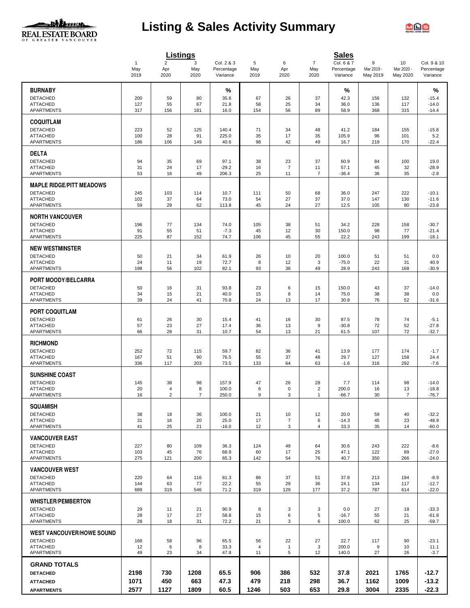

# **Listing & Sales Activity Summary**



|                                                     |                             | <b>Listings</b>               |                  |                                      |                      |                      |                                | <b>Sales</b>                         |                             |                              |                                       |
|-----------------------------------------------------|-----------------------------|-------------------------------|------------------|--------------------------------------|----------------------|----------------------|--------------------------------|--------------------------------------|-----------------------------|------------------------------|---------------------------------------|
|                                                     | $\mathbf{1}$<br>May<br>2019 | $\overline{2}$<br>Apr<br>2020 | 3<br>May<br>2020 | Col. 2 & 3<br>Percentage<br>Variance | 5<br>May<br>2019     | 6<br>Apr<br>2020     | $\overline{7}$<br>May<br>2020  | Col. 6 & 7<br>Percentage<br>Variance | 9<br>Mar 2019 -<br>May 2019 | 10<br>Mar 2020 -<br>May 2020 | Col. 9 & 10<br>Percentage<br>Variance |
| <b>BURNABY</b>                                      |                             |                               |                  | %                                    |                      |                      |                                | %                                    |                             |                              | %                                     |
| <b>DETACHED</b>                                     | 200                         | 59                            | 80               | 35.6                                 | 67                   | 26                   | 37                             | 42.3                                 | 156                         | 132                          | $-15.4$                               |
| <b>ATTACHED</b>                                     | 127                         | 55                            | 67               | 21.8                                 | 58                   | 25                   | 34                             | 36.0                                 | 136                         | 117                          | $-14.0$                               |
| APARTMENTS                                          | 317                         | 156                           | 181              | 16.0                                 | 154                  | 56                   | 89                             | 58.9                                 | 368                         | 315                          | $-14.4$                               |
| <b>COQUITLAM</b>                                    |                             |                               |                  |                                      |                      |                      |                                |                                      |                             |                              |                                       |
| <b>DETACHED</b>                                     | 223                         | 52                            | 125              | 140.4                                | 71                   | 34                   | 48                             | 41.2                                 | 184                         | 155                          | $-15.8$                               |
| <b>ATTACHED</b>                                     | 100                         | 28                            | 91               | 225.0                                | 35                   | 17                   | 35                             | 105.9                                | 96                          | 101                          | 5.2                                   |
| <b>APARTMENTS</b>                                   | 186                         | 106                           | 149              | 40.6                                 | 98                   | 42                   | 49                             | 16.7                                 | 219                         | 170                          | $-22.4$                               |
| <b>DELTA</b>                                        |                             |                               |                  |                                      |                      |                      |                                |                                      |                             |                              |                                       |
| <b>DETACHED</b>                                     | 94                          | 35                            | 69               | 97.1                                 | 38                   | 23                   | 37                             | 60.9                                 | 84                          | 100                          | 19.0                                  |
| <b>ATTACHED</b><br>APARTMENTS                       | 31<br>53                    | 24<br>16                      | 17<br>49         | $-29.2$<br>206.3                     | 16<br>25             | $\overline{7}$<br>11 | 11<br>7                        | 57.1<br>$-36.4$                      | 45<br>36                    | 32<br>35                     | $-28.9$<br>$-2.8$                     |
|                                                     |                             |                               |                  |                                      |                      |                      |                                |                                      |                             |                              |                                       |
| <b>MAPLE RIDGE/PITT MEADOWS</b>                     |                             |                               |                  |                                      |                      |                      |                                |                                      |                             |                              |                                       |
| <b>DETACHED</b><br><b>ATTACHED</b>                  | 245<br>102                  | 103<br>37                     | 114<br>64        | 10.7<br>73.0                         | 111<br>54            | 50<br>27             | 68<br>37                       | 36.0<br>37.0                         | 247<br>147                  | 222<br>130                   | $-10.1$<br>$-11.6$                    |
| <b>APARTMENTS</b>                                   | 59                          | 29                            | 62               | 113.8                                | 45                   | 24                   | 27                             | 12.5                                 | 105                         | 80                           | $-23.8$                               |
| <b>NORTH VANCOUVER</b>                              |                             |                               |                  |                                      |                      |                      |                                |                                      |                             |                              |                                       |
| <b>DETACHED</b>                                     | 196                         | 77                            | 134              | 74.0                                 | 105                  | 38                   | 51                             | 34.2                                 | 228                         | 158                          | $-30.7$                               |
| <b>ATTACHED</b>                                     | 91                          | 55                            | 51               | $-7.3$                               | 45                   | 12                   | 30                             | 150.0                                | 98                          | 77                           | $-21.4$                               |
| APARTMENTS                                          | 225                         | 87                            | 152              | 74.7                                 | 106                  | 45                   | 55                             | 22.2                                 | 243                         | 199                          | $-18.1$                               |
| <b>NEW WESTMINSTER</b>                              |                             |                               |                  |                                      |                      |                      |                                |                                      |                             |                              |                                       |
| <b>DETACHED</b>                                     | 50                          | 21                            | 34               | 61.9                                 | 26                   | 10                   | 20                             | 100.0                                | 51                          | 51                           | 0.0                                   |
| <b>ATTACHED</b><br><b>APARTMENTS</b>                | 24<br>198                   | 11<br>56                      | 19<br>102        | 72.7<br>82.1                         | 8<br>93              | 12<br>38             | 3<br>49                        | $-75.0$<br>28.9                      | 22<br>243                   | 31<br>168                    | 40.9<br>$-30.9$                       |
|                                                     |                             |                               |                  |                                      |                      |                      |                                |                                      |                             |                              |                                       |
| PORT MOODY/BELCARRA                                 |                             |                               |                  |                                      |                      |                      |                                |                                      |                             |                              |                                       |
| <b>DETACHED</b><br><b>ATTACHED</b>                  | 50                          | 16                            | 31               | 93.8                                 | 23                   | 6                    | 15                             | 150.0                                | 43                          | 37                           | $-14.0$                               |
| <b>APARTMENTS</b>                                   | 34<br>39                    | 15<br>24                      | 21<br>41         | 40.0<br>70.8                         | 15<br>24             | 8<br>13              | 14<br>17                       | 75.0<br>30.8                         | 38<br>76                    | 38<br>52                     | 0.0<br>$-31.6$                        |
|                                                     |                             |                               |                  |                                      |                      |                      |                                |                                      |                             |                              |                                       |
| <b>PORT COQUITLAM</b>                               |                             |                               |                  |                                      |                      |                      |                                |                                      |                             |                              |                                       |
| <b>DETACHED</b><br><b>ATTACHED</b>                  | 61<br>57                    | 26<br>23                      | 30<br>27         | 15.4<br>17.4                         | 41<br>36             | 16<br>13             | 30<br>9                        | 87.5<br>$-30.8$                      | 78<br>72                    | 74<br>52                     | $-5.1$<br>$-27.8$                     |
| APARTMENTS                                          | 66                          | 28                            | 31               | 10.7                                 | 54                   | 13                   | 21                             | 61.5                                 | 107                         | 72                           | $-32.7$                               |
| <b>RICHMOND</b>                                     |                             |                               |                  |                                      |                      |                      |                                |                                      |                             |                              |                                       |
| <b>DETACHED</b>                                     | 252                         | 72                            | 115              | 59.7                                 | 82                   | 36                   | 41                             | 13.9                                 | 177                         | 174                          | $-1.7$                                |
| <b>ATTACHED</b>                                     | 167                         | 51                            | 90               | 76.5                                 | 55                   | 37                   | 48                             | 29.7                                 | 127                         | 158                          | 24.4                                  |
| <b>APARTMENTS</b>                                   | 336                         | 117                           | 203              | 73.5                                 | 133                  | 64                   | 63                             | $-1.6$                               | 316                         | 292                          | $-7.6$                                |
| <b>SUNSHINE COAST</b>                               |                             |                               |                  |                                      |                      |                      |                                |                                      |                             |                              |                                       |
| <b>DETACHED</b>                                     | 145                         | 38                            | 98               | 157.9                                | 47                   | 26                   | 28                             | 7.7                                  | 114                         | 98                           | $-14.0$                               |
| <b>ATTACHED</b><br><b>APARTMENTS</b>                | 20<br>16                    | 4<br>$\overline{2}$           | 8<br>7           | 100.0<br>250.0                       | 6<br>9               | 0<br>3               | $\overline{c}$<br>$\mathbf{1}$ | 200.0<br>$-66.7$                     | 16<br>30                    | 13<br>7                      | $-18.8$<br>$-76.7$                    |
|                                                     |                             |                               |                  |                                      |                      |                      |                                |                                      |                             |                              |                                       |
| <b>SQUAMISH</b>                                     |                             |                               |                  |                                      |                      |                      |                                |                                      |                             |                              |                                       |
| <b>DETACHED</b><br><b>ATTACHED</b>                  | 38<br>31                    | 18<br>16                      | 36<br>20         | 100.0<br>25.0                        | 21<br>17             | 10<br>$\overline{7}$ | 12<br>6                        | 20.0<br>$-14.3$                      | 59<br>45                    | 40<br>23                     | $-32.2$<br>$-48.9$                    |
| <b>APARTMENTS</b>                                   | 41                          | 25                            | 21               | $-16.0$                              | 12                   | 3                    | 4                              | 33.3                                 | 35                          | 14                           | $-60.0$                               |
| <b>VANCOUVER EAST</b>                               |                             |                               |                  |                                      |                      |                      |                                |                                      |                             |                              |                                       |
| <b>DETACHED</b>                                     | 227                         | 80                            | 109              | 36.3                                 | 124                  | 49                   | 64                             | 30.6                                 | 243                         | 222                          | $-8.6$                                |
| <b>ATTACHED</b>                                     | 103                         | 45                            | 76               | 68.9                                 | 60                   | 17                   | 25                             | 47.1                                 | 122                         | 89                           | $-27.0$                               |
| <b>APARTMENTS</b>                                   | 275                         | 121                           | 200              | 65.3                                 | 142                  | 54                   | 76                             | 40.7                                 | 350                         | 266                          | $-24.0$                               |
| <b>VANCOUVER WEST</b>                               |                             |                               |                  |                                      |                      |                      |                                |                                      |                             |                              |                                       |
| <b>DETACHED</b>                                     | 220                         | 64                            | 116              | 81.3                                 | 86                   | 37                   | 51                             | 37.8                                 | 213                         | 194                          | $-8.9$                                |
| <b>ATTACHED</b><br><b>APARTMENTS</b>                | 144<br>689                  | 63<br>319                     | 77<br>546        | 22.2<br>71.2                         | 55<br>319            | 29<br>129            | 36<br>177                      | 24.1<br>37.2                         | 134<br>787                  | 117<br>614                   | $-12.7$<br>$-22.0$                    |
|                                                     |                             |                               |                  |                                      |                      |                      |                                |                                      |                             |                              |                                       |
| <b>WHISTLER/PEMBERTON</b>                           |                             |                               |                  |                                      |                      |                      |                                |                                      |                             |                              |                                       |
| <b>DETACHED</b>                                     | 29                          | 11                            | 21               | 90.9                                 | 8                    | 3                    | 3                              | 0.0                                  | 27                          | 18                           | $-33.3$                               |
| <b>ATTACHED</b><br>APARTMENTS                       | 28<br>28                    | 17<br>18                      | 27<br>31         | 58.8<br>72.2                         | 15<br>21             | 6<br>3               | 5<br>6                         | $-16.7$<br>100.0                     | 55<br>62                    | 21<br>25                     | $-61.8$<br>$-59.7$                    |
|                                                     |                             |                               |                  |                                      |                      |                      |                                |                                      |                             |                              |                                       |
| <b>WEST VANCOUVER/HOWE SOUND</b><br><b>DETACHED</b> |                             |                               |                  |                                      |                      | 22                   |                                |                                      |                             |                              |                                       |
| <b>ATTACHED</b>                                     | 168<br>12                   | 58<br>6                       | 96<br>8          | 65.5<br>33.3                         | 56<br>$\overline{4}$ | $\mathbf{1}$         | 27<br>3                        | 22.7<br>200.0                        | 117<br>9                    | 90<br>10                     | $-23.1$<br>11.1                       |
| APARTMENTS                                          | 49                          | 23                            | 34               | 47.8                                 | 11                   | 5                    | 12                             | 140.0                                | 27                          | 26                           | $-3.7$                                |
| <b>GRAND TOTALS</b>                                 |                             |                               |                  |                                      |                      |                      |                                |                                      |                             |                              |                                       |
| <b>DETACHED</b>                                     | 2198                        | 730                           | 1208             | 65.5                                 | 906                  | 386                  | 532                            | 37.8                                 | 2021                        | 1765                         | $-12.7$                               |
| <b>ATTACHED</b>                                     | 1071                        | 450                           | 663              | 47.3                                 | 479                  | 218                  | 298                            | 36.7                                 | 1162                        | 1009                         | $-13.2$                               |
| <b>APARTMENTS</b>                                   | 2577                        | 1127                          | 1809             | 60.5                                 | 1246                 | 503                  | 653                            | 29.8                                 | 3004                        | 2335                         | $-22.3$                               |